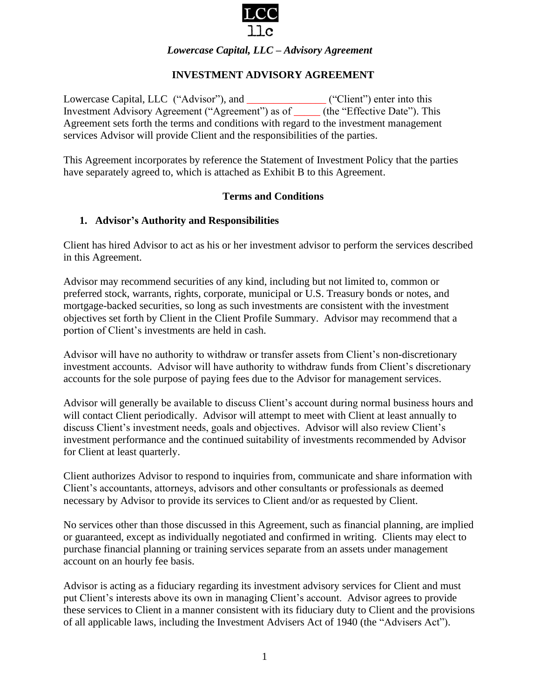

#### **INVESTMENT ADVISORY AGREEMENT**

Lowercase Capital, LLC ("Advisor"), and \_\_\_\_\_\_\_\_\_\_\_\_\_\_\_ ("Client") enter into this Investment Advisory Agreement ("Agreement") as of \_\_\_\_\_ (the "Effective Date"). This Agreement sets forth the terms and conditions with regard to the investment management services Advisor will provide Client and the responsibilities of the parties.

This Agreement incorporates by reference the Statement of Investment Policy that the parties have separately agreed to, which is attached as Exhibit B to this Agreement.

#### **Terms and Conditions**

#### **1. Advisor's Authority and Responsibilities**

Client has hired Advisor to act as his or her investment advisor to perform the services described in this Agreement.

Advisor may recommend securities of any kind, including but not limited to, common or preferred stock, warrants, rights, corporate, municipal or U.S. Treasury bonds or notes, and mortgage-backed securities, so long as such investments are consistent with the investment objectives set forth by Client in the Client Profile Summary. Advisor may recommend that a portion of Client's investments are held in cash.

Advisor will have no authority to withdraw or transfer assets from Client's non-discretionary investment accounts. Advisor will have authority to withdraw funds from Client's discretionary accounts for the sole purpose of paying fees due to the Advisor for management services.

Advisor will generally be available to discuss Client's account during normal business hours and will contact Client periodically. Advisor will attempt to meet with Client at least annually to discuss Client's investment needs, goals and objectives. Advisor will also review Client's investment performance and the continued suitability of investments recommended by Advisor for Client at least quarterly.

Client authorizes Advisor to respond to inquiries from, communicate and share information with Client's accountants, attorneys, advisors and other consultants or professionals as deemed necessary by Advisor to provide its services to Client and/or as requested by Client.

No services other than those discussed in this Agreement, such as financial planning, are implied or guaranteed, except as individually negotiated and confirmed in writing. Clients may elect to purchase financial planning or training services separate from an assets under management account on an hourly fee basis.

Advisor is acting as a fiduciary regarding its investment advisory services for Client and must put Client's interests above its own in managing Client's account. Advisor agrees to provide these services to Client in a manner consistent with its fiduciary duty to Client and the provisions of all applicable laws, including the Investment Advisers Act of 1940 (the "Advisers Act").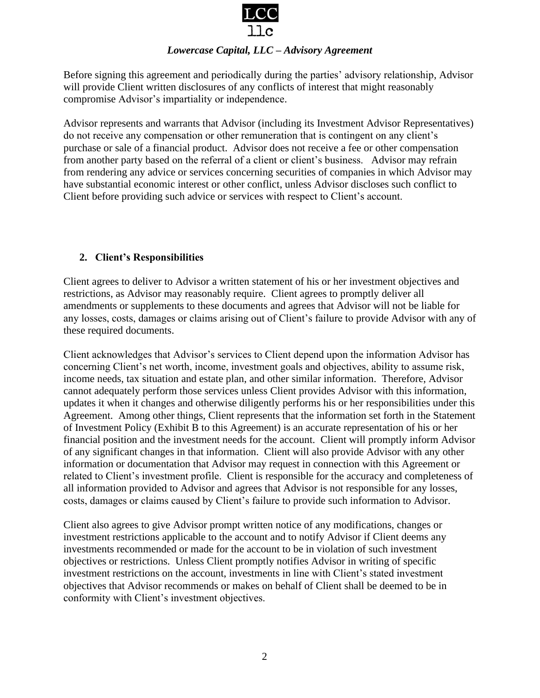

Before signing this agreement and periodically during the parties' advisory relationship, Advisor will provide Client written disclosures of any conflicts of interest that might reasonably compromise Advisor's impartiality or independence.

Advisor represents and warrants that Advisor (including its Investment Advisor Representatives) do not receive any compensation or other remuneration that is contingent on any client's purchase or sale of a financial product. Advisor does not receive a fee or other compensation from another party based on the referral of a client or client's business. Advisor may refrain from rendering any advice or services concerning securities of companies in which Advisor may have substantial economic interest or other conflict, unless Advisor discloses such conflict to Client before providing such advice or services with respect to Client's account.

# **2. Client's Responsibilities**

Client agrees to deliver to Advisor a written statement of his or her investment objectives and restrictions, as Advisor may reasonably require. Client agrees to promptly deliver all amendments or supplements to these documents and agrees that Advisor will not be liable for any losses, costs, damages or claims arising out of Client's failure to provide Advisor with any of these required documents.

Client acknowledges that Advisor's services to Client depend upon the information Advisor has concerning Client's net worth, income, investment goals and objectives, ability to assume risk, income needs, tax situation and estate plan, and other similar information. Therefore, Advisor cannot adequately perform those services unless Client provides Advisor with this information, updates it when it changes and otherwise diligently performs his or her responsibilities under this Agreement. Among other things, Client represents that the information set forth in the Statement of Investment Policy (Exhibit B to this Agreement) is an accurate representation of his or her financial position and the investment needs for the account. Client will promptly inform Advisor of any significant changes in that information. Client will also provide Advisor with any other information or documentation that Advisor may request in connection with this Agreement or related to Client's investment profile. Client is responsible for the accuracy and completeness of all information provided to Advisor and agrees that Advisor is not responsible for any losses, costs, damages or claims caused by Client's failure to provide such information to Advisor.

Client also agrees to give Advisor prompt written notice of any modifications, changes or investment restrictions applicable to the account and to notify Advisor if Client deems any investments recommended or made for the account to be in violation of such investment objectives or restrictions. Unless Client promptly notifies Advisor in writing of specific investment restrictions on the account, investments in line with Client's stated investment objectives that Advisor recommends or makes on behalf of Client shall be deemed to be in conformity with Client's investment objectives.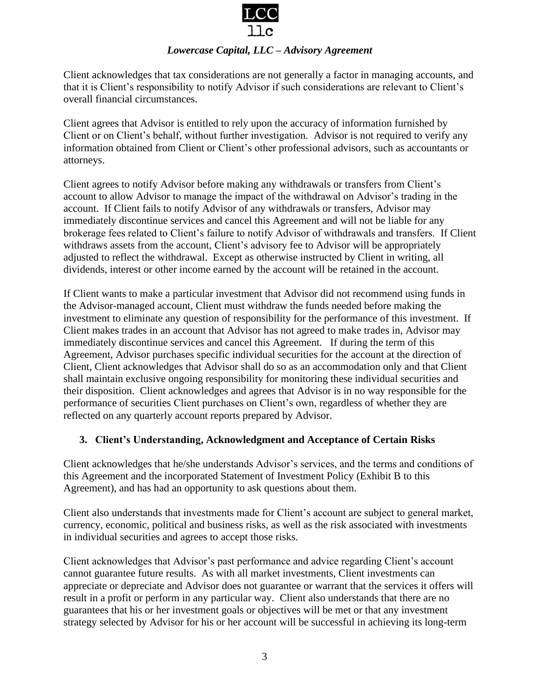

Client acknowledges that tax considerations are not generally a factor in managing accounts, and that it is Client's responsibility to notify Advisor if such considerations are relevant to Client's overall financial circumstances.

Client agrees that Advisor is entitled to rely upon the accuracy of information furnished by Client or on Client's behalf, without further investigation. Advisor is not required to verify any information obtained from Client or Client's other professional advisors, such as accountants or attorneys.

Client agrees to notify Advisor before making any withdrawals or transfers from Client's account to allow Advisor to manage the impact of the withdrawal on Advisor's trading in the account. If Client fails to notify Advisor of any withdrawals or transfers, Advisor may immediately discontinue services and cancel this Agreement and will not be liable for any brokerage fees related to Client's failure to notify Advisor of withdrawals and transfers. If Client withdraws assets from the account, Client's advisory fee to Advisor will be appropriately adjusted to reflect the withdrawal. Except as otherwise instructed by Client in writing, all dividends, interest or other income earned by the account will be retained in the account.

If Client wants to make a particular investment that Advisor did not recommend using funds in the Advisor-managed account, Client must withdraw the funds needed before making the investment to eliminate any question of responsibility for the performance of this investment. If Client makes trades in an account that Advisor has not agreed to make trades in, Advisor may immediately discontinue services and cancel this Agreement. If during the term of this Agreement, Advisor purchases specific individual securities for the account at the direction of Client, Client acknowledges that Advisor shall do so as an accommodation only and that Client shall maintain exclusive ongoing responsibility for monitoring these individual securities and their disposition. Client acknowledges and agrees that Advisor is in no way responsible for the performance of securities Client purchases on Client's own, regardless of whether they are reflected on any quarterly account reports prepared by Advisor.

# **3. Client's Understanding, Acknowledgment and Acceptance of Certain Risks**

Client acknowledges that he/she understands Advisor's services, and the terms and conditions of this Agreement and the incorporated Statement of Investment Policy (Exhibit B to this Agreement), and has had an opportunity to ask questions about them.

Client also understands that investments made for Client's account are subject to general market, currency, economic, political and business risks, as well as the risk associated with investments in individual securities and agrees to accept those risks.

Client acknowledges that Advisor's past performance and advice regarding Client's account cannot guarantee future results. As with all market investments, Client investments can appreciate or depreciate and Advisor does not guarantee or warrant that the services it offers will result in a profit or perform in any particular way. Client also understands that there are no guarantees that his or her investment goals or objectives will be met or that any investment strategy selected by Advisor for his or her account will be successful in achieving its long-term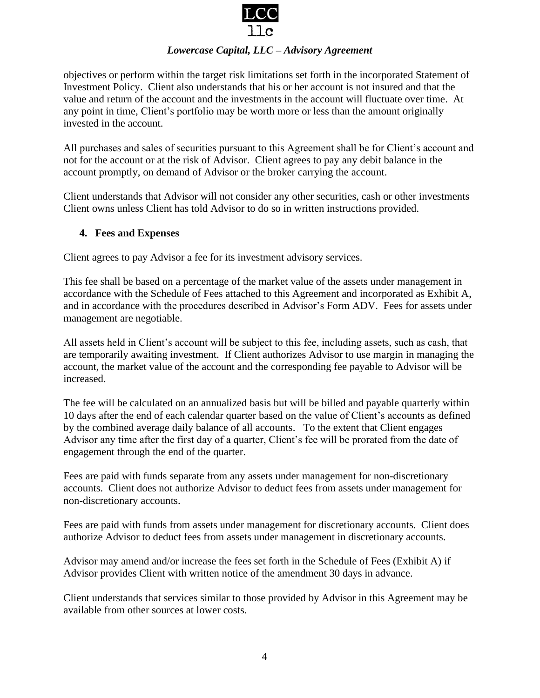

objectives or perform within the target risk limitations set forth in the incorporated Statement of Investment Policy. Client also understands that his or her account is not insured and that the value and return of the account and the investments in the account will fluctuate over time. At any point in time, Client's portfolio may be worth more or less than the amount originally invested in the account.

All purchases and sales of securities pursuant to this Agreement shall be for Client's account and not for the account or at the risk of Advisor. Client agrees to pay any debit balance in the account promptly, on demand of Advisor or the broker carrying the account.

Client understands that Advisor will not consider any other securities, cash or other investments Client owns unless Client has told Advisor to do so in written instructions provided.

## **4. Fees and Expenses**

Client agrees to pay Advisor a fee for its investment advisory services.

This fee shall be based on a percentage of the market value of the assets under management in accordance with the Schedule of Fees attached to this Agreement and incorporated as Exhibit A, and in accordance with the procedures described in Advisor's Form ADV. Fees for assets under management are negotiable.

All assets held in Client's account will be subject to this fee, including assets, such as cash, that are temporarily awaiting investment. If Client authorizes Advisor to use margin in managing the account, the market value of the account and the corresponding fee payable to Advisor will be increased.

The fee will be calculated on an annualized basis but will be billed and payable quarterly within 10 days after the end of each calendar quarter based on the value of Client's accounts as defined by the combined average daily balance of all accounts. To the extent that Client engages Advisor any time after the first day of a quarter, Client's fee will be prorated from the date of engagement through the end of the quarter.

Fees are paid with funds separate from any assets under management for non-discretionary accounts. Client does not authorize Advisor to deduct fees from assets under management for non-discretionary accounts.

Fees are paid with funds from assets under management for discretionary accounts. Client does authorize Advisor to deduct fees from assets under management in discretionary accounts.

Advisor may amend and/or increase the fees set forth in the Schedule of Fees (Exhibit A) if Advisor provides Client with written notice of the amendment 30 days in advance.

Client understands that services similar to those provided by Advisor in this Agreement may be available from other sources at lower costs.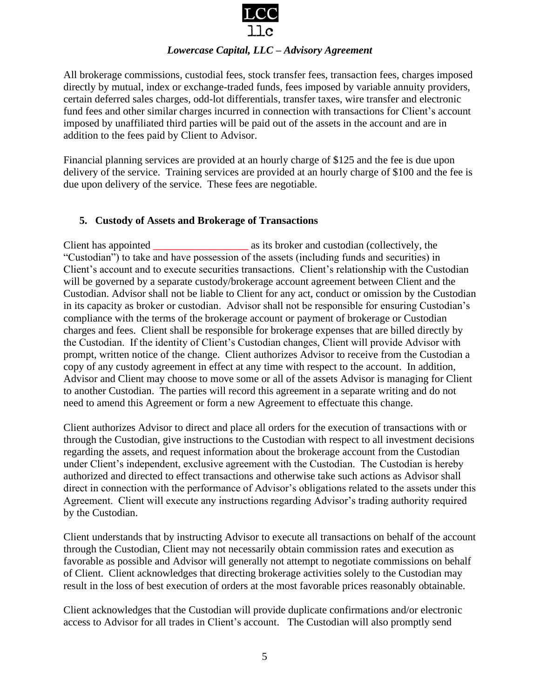

All brokerage commissions, custodial fees, stock transfer fees, transaction fees, charges imposed directly by mutual, index or exchange-traded funds, fees imposed by variable annuity providers, certain deferred sales charges, odd-lot differentials, transfer taxes, wire transfer and electronic fund fees and other similar charges incurred in connection with transactions for Client's account imposed by unaffiliated third parties will be paid out of the assets in the account and are in addition to the fees paid by Client to Advisor.

Financial planning services are provided at an hourly charge of \$125 and the fee is due upon delivery of the service. Training services are provided at an hourly charge of \$100 and the fee is due upon delivery of the service. These fees are negotiable.

# **5. Custody of Assets and Brokerage of Transactions**

Client has appointed \_\_\_\_\_\_\_\_\_\_\_\_\_\_\_\_\_\_ as its broker and custodian (collectively, the "Custodian") to take and have possession of the assets (including funds and securities) in Client's account and to execute securities transactions. Client's relationship with the Custodian will be governed by a separate custody/brokerage account agreement between Client and the Custodian. Advisor shall not be liable to Client for any act, conduct or omission by the Custodian in its capacity as broker or custodian. Advisor shall not be responsible for ensuring Custodian's compliance with the terms of the brokerage account or payment of brokerage or Custodian charges and fees. Client shall be responsible for brokerage expenses that are billed directly by the Custodian. If the identity of Client's Custodian changes, Client will provide Advisor with prompt, written notice of the change. Client authorizes Advisor to receive from the Custodian a copy of any custody agreement in effect at any time with respect to the account. In addition, Advisor and Client may choose to move some or all of the assets Advisor is managing for Client to another Custodian. The parties will record this agreement in a separate writing and do not need to amend this Agreement or form a new Agreement to effectuate this change.

Client authorizes Advisor to direct and place all orders for the execution of transactions with or through the Custodian, give instructions to the Custodian with respect to all investment decisions regarding the assets, and request information about the brokerage account from the Custodian under Client's independent, exclusive agreement with the Custodian. The Custodian is hereby authorized and directed to effect transactions and otherwise take such actions as Advisor shall direct in connection with the performance of Advisor's obligations related to the assets under this Agreement. Client will execute any instructions regarding Advisor's trading authority required by the Custodian.

Client understands that by instructing Advisor to execute all transactions on behalf of the account through the Custodian, Client may not necessarily obtain commission rates and execution as favorable as possible and Advisor will generally not attempt to negotiate commissions on behalf of Client. Client acknowledges that directing brokerage activities solely to the Custodian may result in the loss of best execution of orders at the most favorable prices reasonably obtainable.

Client acknowledges that the Custodian will provide duplicate confirmations and/or electronic access to Advisor for all trades in Client's account. The Custodian will also promptly send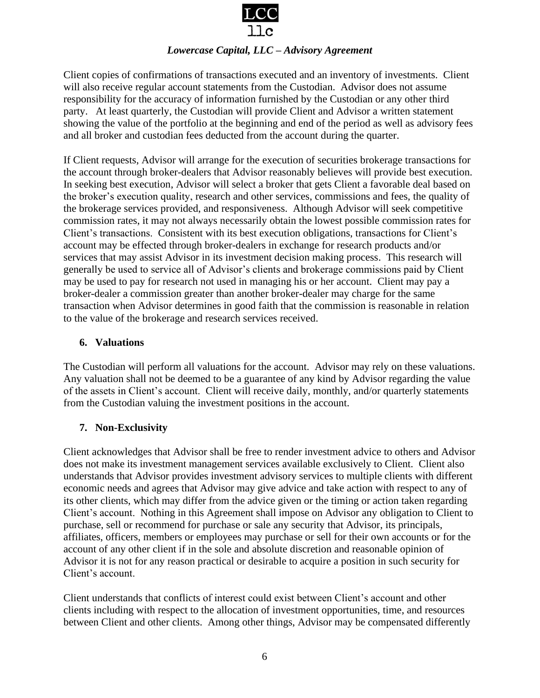

Client copies of confirmations of transactions executed and an inventory of investments. Client will also receive regular account statements from the Custodian. Advisor does not assume responsibility for the accuracy of information furnished by the Custodian or any other third party. At least quarterly, the Custodian will provide Client and Advisor a written statement showing the value of the portfolio at the beginning and end of the period as well as advisory fees and all broker and custodian fees deducted from the account during the quarter.

If Client requests, Advisor will arrange for the execution of securities brokerage transactions for the account through broker-dealers that Advisor reasonably believes will provide best execution. In seeking best execution, Advisor will select a broker that gets Client a favorable deal based on the broker's execution quality, research and other services, commissions and fees, the quality of the brokerage services provided, and responsiveness. Although Advisor will seek competitive commission rates, it may not always necessarily obtain the lowest possible commission rates for Client's transactions. Consistent with its best execution obligations, transactions for Client's account may be effected through broker-dealers in exchange for research products and/or services that may assist Advisor in its investment decision making process. This research will generally be used to service all of Advisor's clients and brokerage commissions paid by Client may be used to pay for research not used in managing his or her account. Client may pay a broker-dealer a commission greater than another broker-dealer may charge for the same transaction when Advisor determines in good faith that the commission is reasonable in relation to the value of the brokerage and research services received.

## **6. Valuations**

The Custodian will perform all valuations for the account. Advisor may rely on these valuations. Any valuation shall not be deemed to be a guarantee of any kind by Advisor regarding the value of the assets in Client's account. Client will receive daily, monthly, and/or quarterly statements from the Custodian valuing the investment positions in the account.

## **7. Non-Exclusivity**

Client acknowledges that Advisor shall be free to render investment advice to others and Advisor does not make its investment management services available exclusively to Client. Client also understands that Advisor provides investment advisory services to multiple clients with different economic needs and agrees that Advisor may give advice and take action with respect to any of its other clients, which may differ from the advice given or the timing or action taken regarding Client's account. Nothing in this Agreement shall impose on Advisor any obligation to Client to purchase, sell or recommend for purchase or sale any security that Advisor, its principals, affiliates, officers, members or employees may purchase or sell for their own accounts or for the account of any other client if in the sole and absolute discretion and reasonable opinion of Advisor it is not for any reason practical or desirable to acquire a position in such security for Client's account.

Client understands that conflicts of interest could exist between Client's account and other clients including with respect to the allocation of investment opportunities, time, and resources between Client and other clients. Among other things, Advisor may be compensated differently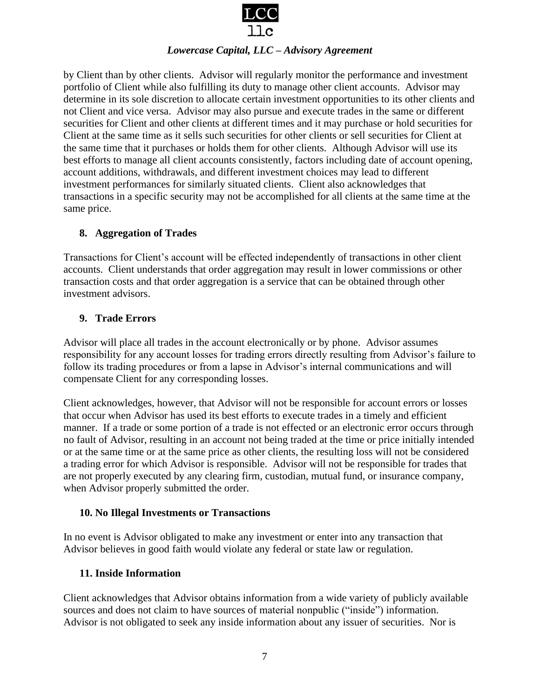

by Client than by other clients. Advisor will regularly monitor the performance and investment portfolio of Client while also fulfilling its duty to manage other client accounts. Advisor may determine in its sole discretion to allocate certain investment opportunities to its other clients and not Client and vice versa. Advisor may also pursue and execute trades in the same or different securities for Client and other clients at different times and it may purchase or hold securities for Client at the same time as it sells such securities for other clients or sell securities for Client at the same time that it purchases or holds them for other clients. Although Advisor will use its best efforts to manage all client accounts consistently, factors including date of account opening, account additions, withdrawals, and different investment choices may lead to different investment performances for similarly situated clients. Client also acknowledges that transactions in a specific security may not be accomplished for all clients at the same time at the same price.

## **8. Aggregation of Trades**

Transactions for Client's account will be effected independently of transactions in other client accounts. Client understands that order aggregation may result in lower commissions or other transaction costs and that order aggregation is a service that can be obtained through other investment advisors.

# **9. Trade Errors**

Advisor will place all trades in the account electronically or by phone. Advisor assumes responsibility for any account losses for trading errors directly resulting from Advisor's failure to follow its trading procedures or from a lapse in Advisor's internal communications and will compensate Client for any corresponding losses.

Client acknowledges, however, that Advisor will not be responsible for account errors or losses that occur when Advisor has used its best efforts to execute trades in a timely and efficient manner. If a trade or some portion of a trade is not effected or an electronic error occurs through no fault of Advisor, resulting in an account not being traded at the time or price initially intended or at the same time or at the same price as other clients, the resulting loss will not be considered a trading error for which Advisor is responsible. Advisor will not be responsible for trades that are not properly executed by any clearing firm, custodian, mutual fund, or insurance company, when Advisor properly submitted the order.

## **10. No Illegal Investments or Transactions**

In no event is Advisor obligated to make any investment or enter into any transaction that Advisor believes in good faith would violate any federal or state law or regulation.

## **11. Inside Information**

Client acknowledges that Advisor obtains information from a wide variety of publicly available sources and does not claim to have sources of material nonpublic ("inside") information. Advisor is not obligated to seek any inside information about any issuer of securities. Nor is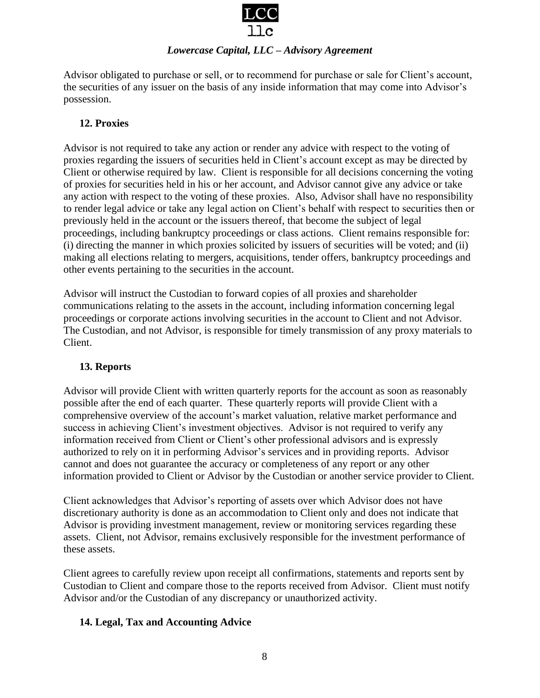

Advisor obligated to purchase or sell, or to recommend for purchase or sale for Client's account, the securities of any issuer on the basis of any inside information that may come into Advisor's possession.

# **12. Proxies**

Advisor is not required to take any action or render any advice with respect to the voting of proxies regarding the issuers of securities held in Client's account except as may be directed by Client or otherwise required by law. Client is responsible for all decisions concerning the voting of proxies for securities held in his or her account, and Advisor cannot give any advice or take any action with respect to the voting of these proxies. Also, Advisor shall have no responsibility to render legal advice or take any legal action on Client's behalf with respect to securities then or previously held in the account or the issuers thereof, that become the subject of legal proceedings, including bankruptcy proceedings or class actions. Client remains responsible for: (i) directing the manner in which proxies solicited by issuers of securities will be voted; and (ii) making all elections relating to mergers, acquisitions, tender offers, bankruptcy proceedings and other events pertaining to the securities in the account.

Advisor will instruct the Custodian to forward copies of all proxies and shareholder communications relating to the assets in the account, including information concerning legal proceedings or corporate actions involving securities in the account to Client and not Advisor. The Custodian, and not Advisor, is responsible for timely transmission of any proxy materials to Client.

# **13. Reports**

Advisor will provide Client with written quarterly reports for the account as soon as reasonably possible after the end of each quarter. These quarterly reports will provide Client with a comprehensive overview of the account's market valuation, relative market performance and success in achieving Client's investment objectives. Advisor is not required to verify any information received from Client or Client's other professional advisors and is expressly authorized to rely on it in performing Advisor's services and in providing reports. Advisor cannot and does not guarantee the accuracy or completeness of any report or any other information provided to Client or Advisor by the Custodian or another service provider to Client.

Client acknowledges that Advisor's reporting of assets over which Advisor does not have discretionary authority is done as an accommodation to Client only and does not indicate that Advisor is providing investment management, review or monitoring services regarding these assets. Client, not Advisor, remains exclusively responsible for the investment performance of these assets.

Client agrees to carefully review upon receipt all confirmations, statements and reports sent by Custodian to Client and compare those to the reports received from Advisor. Client must notify Advisor and/or the Custodian of any discrepancy or unauthorized activity.

# **14. Legal, Tax and Accounting Advice**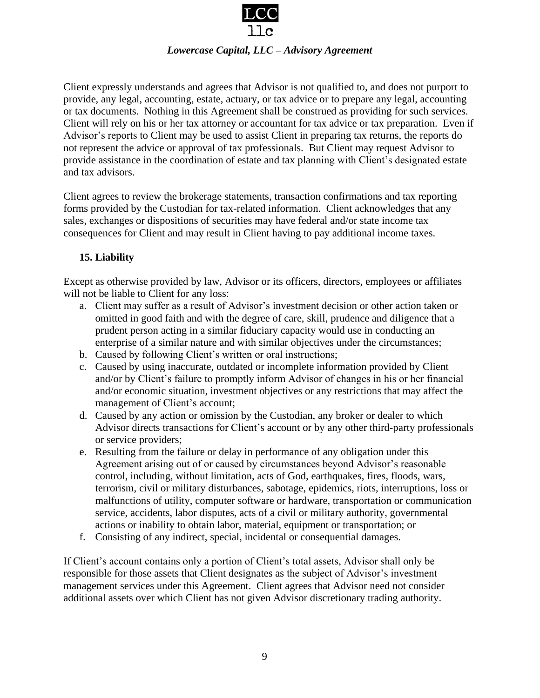

Client expressly understands and agrees that Advisor is not qualified to, and does not purport to provide, any legal, accounting, estate, actuary, or tax advice or to prepare any legal, accounting or tax documents. Nothing in this Agreement shall be construed as providing for such services. Client will rely on his or her tax attorney or accountant for tax advice or tax preparation. Even if Advisor's reports to Client may be used to assist Client in preparing tax returns, the reports do not represent the advice or approval of tax professionals. But Client may request Advisor to provide assistance in the coordination of estate and tax planning with Client's designated estate and tax advisors.

Client agrees to review the brokerage statements, transaction confirmations and tax reporting forms provided by the Custodian for tax-related information. Client acknowledges that any sales, exchanges or dispositions of securities may have federal and/or state income tax consequences for Client and may result in Client having to pay additional income taxes.

# **15. Liability**

Except as otherwise provided by law, Advisor or its officers, directors, employees or affiliates will not be liable to Client for any loss:

- a. Client may suffer as a result of Advisor's investment decision or other action taken or omitted in good faith and with the degree of care, skill, prudence and diligence that a prudent person acting in a similar fiduciary capacity would use in conducting an enterprise of a similar nature and with similar objectives under the circumstances;
- b. Caused by following Client's written or oral instructions;
- c. Caused by using inaccurate, outdated or incomplete information provided by Client and/or by Client's failure to promptly inform Advisor of changes in his or her financial and/or economic situation, investment objectives or any restrictions that may affect the management of Client's account;
- d. Caused by any action or omission by the Custodian, any broker or dealer to which Advisor directs transactions for Client's account or by any other third-party professionals or service providers;
- e. Resulting from the failure or delay in performance of any obligation under this Agreement arising out of or caused by circumstances beyond Advisor's reasonable control, including, without limitation, acts of God, earthquakes, fires, floods, wars, terrorism, civil or military disturbances, sabotage, epidemics, riots, interruptions, loss or malfunctions of utility, computer software or hardware, transportation or communication service, accidents, labor disputes, acts of a civil or military authority, governmental actions or inability to obtain labor, material, equipment or transportation; or
- f. Consisting of any indirect, special, incidental or consequential damages.

If Client's account contains only a portion of Client's total assets, Advisor shall only be responsible for those assets that Client designates as the subject of Advisor's investment management services under this Agreement. Client agrees that Advisor need not consider additional assets over which Client has not given Advisor discretionary trading authority.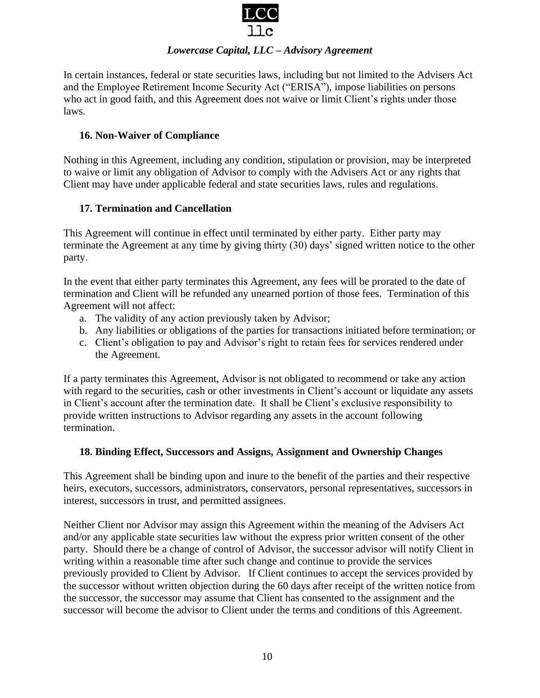

In certain instances, federal or state securities laws, including but not limited to the Advisers Act and the Employee Retirement Income Security Act ("ERISA"), impose liabilities on persons who act in good faith, and this Agreement does not waive or limit Client's rights under those laws.

# **16. Non-Waiver of Compliance**

Nothing in this Agreement, including any condition, stipulation or provision, may be interpreted to waive or limit any obligation of Advisor to comply with the Advisers Act or any rights that Client may have under applicable federal and state securities laws, rules and regulations.

# **17. Termination and Cancellation**

This Agreement will continue in effect until terminated by either party. Either party may terminate the Agreement at any time by giving thirty (30) days' signed written notice to the other party.

In the event that either party terminates this Agreement, any fees will be prorated to the date of termination and Client will be refunded any unearned portion of those fees. Termination of this Agreement will not affect:

- a. The validity of any action previously taken by Advisor;
- b. Any liabilities or obligations of the parties for transactions initiated before termination; or
- c. Client's obligation to pay and Advisor's right to retain fees for services rendered under the Agreement.

If a party terminates this Agreement, Advisor is not obligated to recommend or take any action with regard to the securities, cash or other investments in Client's account or liquidate any assets in Client's account after the termination date. It shall be Client's exclusive responsibility to provide written instructions to Advisor regarding any assets in the account following termination.

## **18. Binding Effect, Successors and Assigns, Assignment and Ownership Changes**

This Agreement shall be binding upon and inure to the benefit of the parties and their respective heirs, executors, successors, administrators, conservators, personal representatives, successors in interest, successors in trust, and permitted assignees.

Neither Client nor Advisor may assign this Agreement within the meaning of the Advisers Act and/or any applicable state securities law without the express prior written consent of the other party. Should there be a change of control of Advisor, the successor advisor will notify Client in writing within a reasonable time after such change and continue to provide the services previously provided to Client by Advisor. If Client continues to accept the services provided by the successor without written objection during the 60 days after receipt of the written notice from the successor, the successor may assume that Client has consented to the assignment and the successor will become the advisor to Client under the terms and conditions of this Agreement.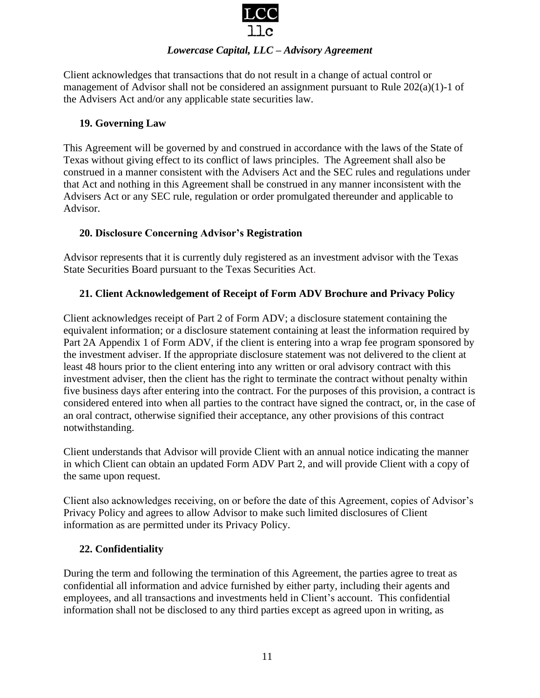

Client acknowledges that transactions that do not result in a change of actual control or management of Advisor shall not be considered an assignment pursuant to Rule 202(a)(1)-1 of the Advisers Act and/or any applicable state securities law.

# **19. Governing Law**

This Agreement will be governed by and construed in accordance with the laws of the State of Texas without giving effect to its conflict of laws principles. The Agreement shall also be construed in a manner consistent with the Advisers Act and the SEC rules and regulations under that Act and nothing in this Agreement shall be construed in any manner inconsistent with the Advisers Act or any SEC rule, regulation or order promulgated thereunder and applicable to Advisor.

# **20. Disclosure Concerning Advisor's Registration**

Advisor represents that it is currently duly registered as an investment advisor with the Texas State Securities Board pursuant to the Texas Securities Act.

# **21. Client Acknowledgement of Receipt of Form ADV Brochure and Privacy Policy**

Client acknowledges receipt of Part 2 of Form ADV; a disclosure statement containing the equivalent information; or a disclosure statement containing at least the information required by Part 2A Appendix 1 of Form ADV, if the client is entering into a wrap fee program sponsored by the investment adviser. If the appropriate disclosure statement was not delivered to the client at least 48 hours prior to the client entering into any written or oral advisory contract with this investment adviser, then the client has the right to terminate the contract without penalty within five business days after entering into the contract. For the purposes of this provision, a contract is considered entered into when all parties to the contract have signed the contract, or, in the case of an oral contract, otherwise signified their acceptance, any other provisions of this contract notwithstanding.

Client understands that Advisor will provide Client with an annual notice indicating the manner in which Client can obtain an updated Form ADV Part 2, and will provide Client with a copy of the same upon request.

Client also acknowledges receiving, on or before the date of this Agreement, copies of Advisor's Privacy Policy and agrees to allow Advisor to make such limited disclosures of Client information as are permitted under its Privacy Policy.

# **22. Confidentiality**

During the term and following the termination of this Agreement, the parties agree to treat as confidential all information and advice furnished by either party, including their agents and employees, and all transactions and investments held in Client's account. This confidential information shall not be disclosed to any third parties except as agreed upon in writing, as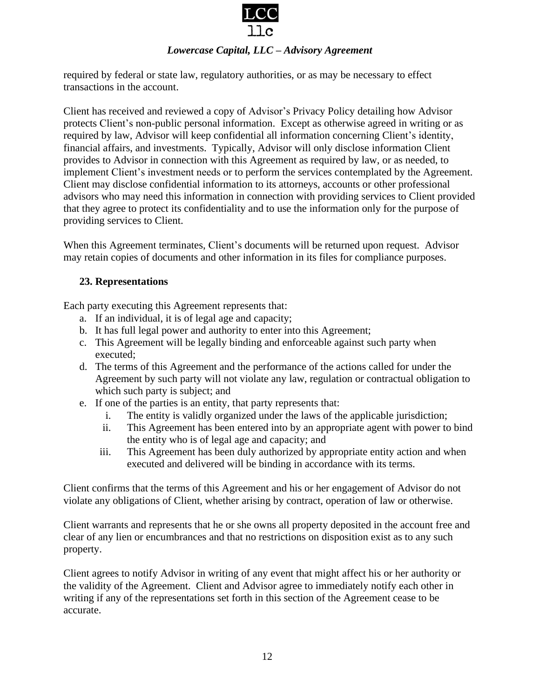

required by federal or state law, regulatory authorities, or as may be necessary to effect transactions in the account.

Client has received and reviewed a copy of Advisor's Privacy Policy detailing how Advisor protects Client's non-public personal information. Except as otherwise agreed in writing or as required by law, Advisor will keep confidential all information concerning Client's identity, financial affairs, and investments. Typically, Advisor will only disclose information Client provides to Advisor in connection with this Agreement as required by law, or as needed, to implement Client's investment needs or to perform the services contemplated by the Agreement. Client may disclose confidential information to its attorneys, accounts or other professional advisors who may need this information in connection with providing services to Client provided that they agree to protect its confidentiality and to use the information only for the purpose of providing services to Client.

When this Agreement terminates, Client's documents will be returned upon request. Advisor may retain copies of documents and other information in its files for compliance purposes.

# **23. Representations**

Each party executing this Agreement represents that:

- a. If an individual, it is of legal age and capacity;
- b. It has full legal power and authority to enter into this Agreement;
- c. This Agreement will be legally binding and enforceable against such party when executed;
- d. The terms of this Agreement and the performance of the actions called for under the Agreement by such party will not violate any law, regulation or contractual obligation to which such party is subject; and
- e. If one of the parties is an entity, that party represents that:
	- i. The entity is validly organized under the laws of the applicable jurisdiction;
	- ii. This Agreement has been entered into by an appropriate agent with power to bind the entity who is of legal age and capacity; and
	- iii. This Agreement has been duly authorized by appropriate entity action and when executed and delivered will be binding in accordance with its terms.

Client confirms that the terms of this Agreement and his or her engagement of Advisor do not violate any obligations of Client, whether arising by contract, operation of law or otherwise.

Client warrants and represents that he or she owns all property deposited in the account free and clear of any lien or encumbrances and that no restrictions on disposition exist as to any such property.

Client agrees to notify Advisor in writing of any event that might affect his or her authority or the validity of the Agreement. Client and Advisor agree to immediately notify each other in writing if any of the representations set forth in this section of the Agreement cease to be accurate.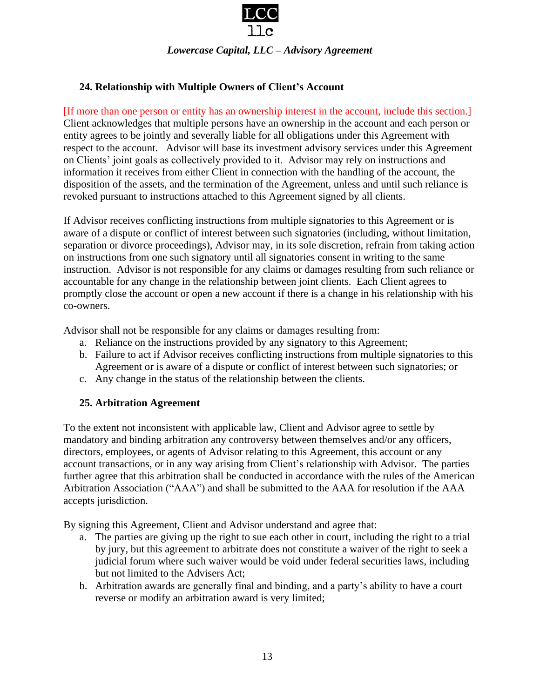

# **24. Relationship with Multiple Owners of Client's Account**

[If more than one person or entity has an ownership interest in the account, include this section.] Client acknowledges that multiple persons have an ownership in the account and each person or entity agrees to be jointly and severally liable for all obligations under this Agreement with respect to the account. Advisor will base its investment advisory services under this Agreement on Clients' joint goals as collectively provided to it. Advisor may rely on instructions and information it receives from either Client in connection with the handling of the account, the disposition of the assets, and the termination of the Agreement, unless and until such reliance is revoked pursuant to instructions attached to this Agreement signed by all clients.

If Advisor receives conflicting instructions from multiple signatories to this Agreement or is aware of a dispute or conflict of interest between such signatories (including, without limitation, separation or divorce proceedings), Advisor may, in its sole discretion, refrain from taking action on instructions from one such signatory until all signatories consent in writing to the same instruction. Advisor is not responsible for any claims or damages resulting from such reliance or accountable for any change in the relationship between joint clients. Each Client agrees to promptly close the account or open a new account if there is a change in his relationship with his co-owners.

Advisor shall not be responsible for any claims or damages resulting from:

- a. Reliance on the instructions provided by any signatory to this Agreement;
- b. Failure to act if Advisor receives conflicting instructions from multiple signatories to this Agreement or is aware of a dispute or conflict of interest between such signatories; or
- c. Any change in the status of the relationship between the clients.

#### **25. Arbitration Agreement**

To the extent not inconsistent with applicable law, Client and Advisor agree to settle by mandatory and binding arbitration any controversy between themselves and/or any officers, directors, employees, or agents of Advisor relating to this Agreement, this account or any account transactions, or in any way arising from Client's relationship with Advisor. The parties further agree that this arbitration shall be conducted in accordance with the rules of the American Arbitration Association ("AAA") and shall be submitted to the AAA for resolution if the AAA accepts jurisdiction.

By signing this Agreement, Client and Advisor understand and agree that:

- a. The parties are giving up the right to sue each other in court, including the right to a trial by jury, but this agreement to arbitrate does not constitute a waiver of the right to seek a judicial forum where such waiver would be void under federal securities laws, including but not limited to the Advisers Act;
- b. Arbitration awards are generally final and binding, and a party's ability to have a court reverse or modify an arbitration award is very limited;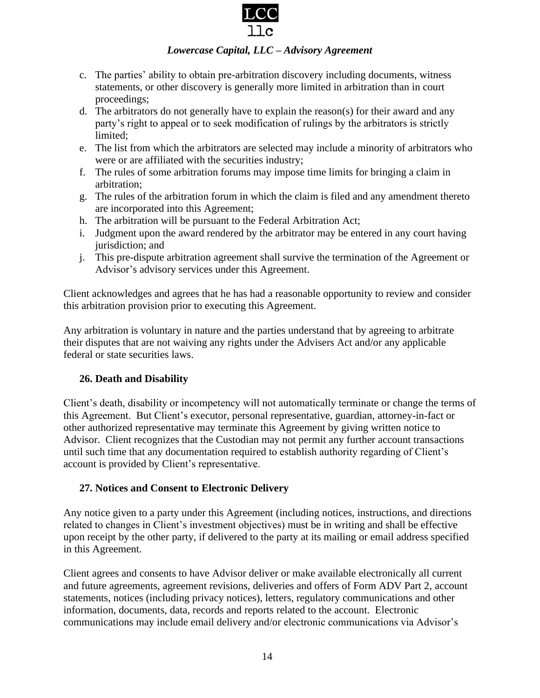

- c. The parties' ability to obtain pre-arbitration discovery including documents, witness statements, or other discovery is generally more limited in arbitration than in court proceedings;
- d. The arbitrators do not generally have to explain the reason(s) for their award and any party's right to appeal or to seek modification of rulings by the arbitrators is strictly limited;
- e. The list from which the arbitrators are selected may include a minority of arbitrators who were or are affiliated with the securities industry;
- f. The rules of some arbitration forums may impose time limits for bringing a claim in arbitration;
- g. The rules of the arbitration forum in which the claim is filed and any amendment thereto are incorporated into this Agreement;
- h. The arbitration will be pursuant to the Federal Arbitration Act;
- i. Judgment upon the award rendered by the arbitrator may be entered in any court having jurisdiction; and
- j. This pre-dispute arbitration agreement shall survive the termination of the Agreement or Advisor's advisory services under this Agreement.

Client acknowledges and agrees that he has had a reasonable opportunity to review and consider this arbitration provision prior to executing this Agreement.

Any arbitration is voluntary in nature and the parties understand that by agreeing to arbitrate their disputes that are not waiving any rights under the Advisers Act and/or any applicable federal or state securities laws.

# **26. Death and Disability**

Client's death, disability or incompetency will not automatically terminate or change the terms of this Agreement. But Client's executor, personal representative, guardian, attorney-in-fact or other authorized representative may terminate this Agreement by giving written notice to Advisor. Client recognizes that the Custodian may not permit any further account transactions until such time that any documentation required to establish authority regarding of Client's account is provided by Client's representative.

## **27. Notices and Consent to Electronic Delivery**

Any notice given to a party under this Agreement (including notices, instructions, and directions related to changes in Client's investment objectives) must be in writing and shall be effective upon receipt by the other party, if delivered to the party at its mailing or email address specified in this Agreement.

Client agrees and consents to have Advisor deliver or make available electronically all current and future agreements, agreement revisions, deliveries and offers of Form ADV Part 2, account statements, notices (including privacy notices), letters, regulatory communications and other information, documents, data, records and reports related to the account. Electronic communications may include email delivery and/or electronic communications via Advisor's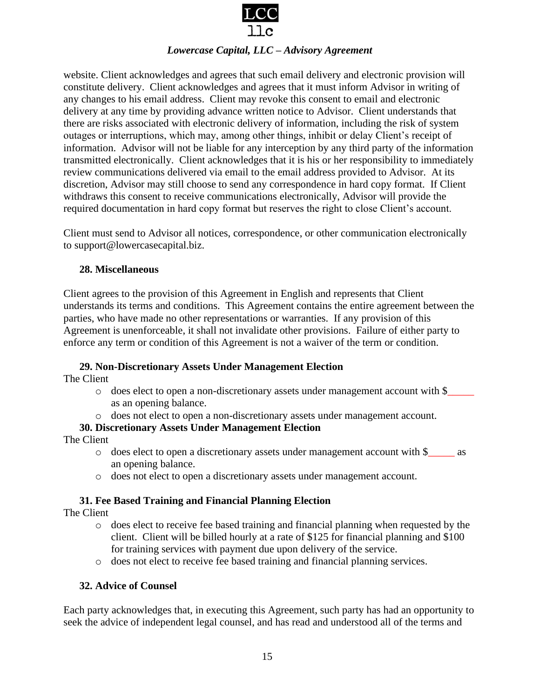

website. Client acknowledges and agrees that such email delivery and electronic provision will constitute delivery. Client acknowledges and agrees that it must inform Advisor in writing of any changes to his email address. Client may revoke this consent to email and electronic delivery at any time by providing advance written notice to Advisor. Client understands that there are risks associated with electronic delivery of information, including the risk of system outages or interruptions, which may, among other things, inhibit or delay Client's receipt of information. Advisor will not be liable for any interception by any third party of the information transmitted electronically. Client acknowledges that it is his or her responsibility to immediately review communications delivered via email to the email address provided to Advisor. At its discretion, Advisor may still choose to send any correspondence in hard copy format. If Client withdraws this consent to receive communications electronically, Advisor will provide the required documentation in hard copy format but reserves the right to close Client's account.

Client must send to Advisor all notices, correspondence, or other communication electronically to support@lowercasecapital.biz.

# **28. Miscellaneous**

Client agrees to the provision of this Agreement in English and represents that Client understands its terms and conditions. This Agreement contains the entire agreement between the parties, who have made no other representations or warranties. If any provision of this Agreement is unenforceable, it shall not invalidate other provisions. Failure of either party to enforce any term or condition of this Agreement is not a waiver of the term or condition.

## **29. Non-Discretionary Assets Under Management Election**

The Client

- $\circ$  does elect to open a non-discretionary assets under management account with \$ as an opening balance.
- o does not elect to open a non-discretionary assets under management account.

## **30. Discretionary Assets Under Management Election**

The Client

- $\circ$  does elect to open a discretionary assets under management account with \$  $\circ$ an opening balance.
- o does not elect to open a discretionary assets under management account.

## **31. Fee Based Training and Financial Planning Election**

The Client

- o does elect to receive fee based training and financial planning when requested by the client. Client will be billed hourly at a rate of \$125 for financial planning and \$100 for training services with payment due upon delivery of the service.
- o does not elect to receive fee based training and financial planning services.

## **32. Advice of Counsel**

Each party acknowledges that, in executing this Agreement, such party has had an opportunity to seek the advice of independent legal counsel, and has read and understood all of the terms and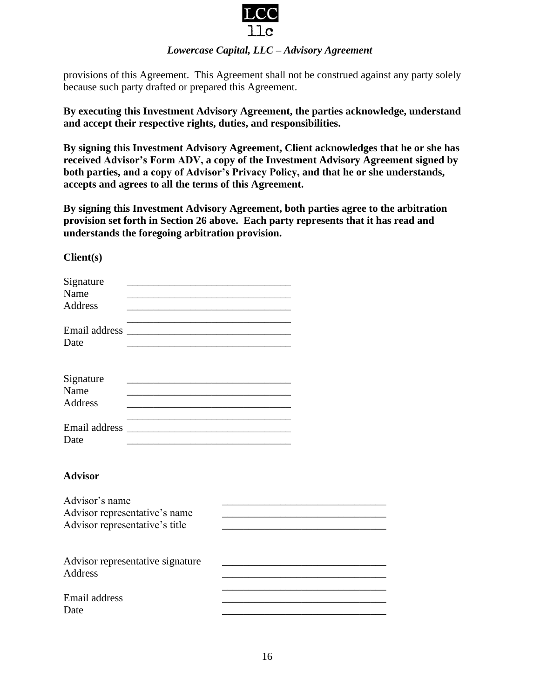

provisions of this Agreement. This Agreement shall not be construed against any party solely because such party drafted or prepared this Agreement.

**By executing this Investment Advisory Agreement, the parties acknowledge, understand and accept their respective rights, duties, and responsibilities.** 

**By signing this Investment Advisory Agreement, Client acknowledges that he or she has received Advisor's Form ADV, a copy of the Investment Advisory Agreement signed by both parties, and a copy of Advisor's Privacy Policy, and that he or she understands, accepts and agrees to all the terms of this Agreement.** 

**By signing this Investment Advisory Agreement, both parties agree to the arbitration provision set forth in Section 26 above. Each party represents that it has read and understands the foregoing arbitration provision.** 

#### **Client(s)**

| Signature     |  |
|---------------|--|
| Name          |  |
| Address       |  |
|               |  |
| Email address |  |

| Email address |
|---------------|
|               |
|               |

#### **Advisor**

| Advisor's name<br>Advisor representative's name<br>Advisor representative's title |  |
|-----------------------------------------------------------------------------------|--|
| Advisor representative signature                                                  |  |
| Address                                                                           |  |
| Email address<br>Date                                                             |  |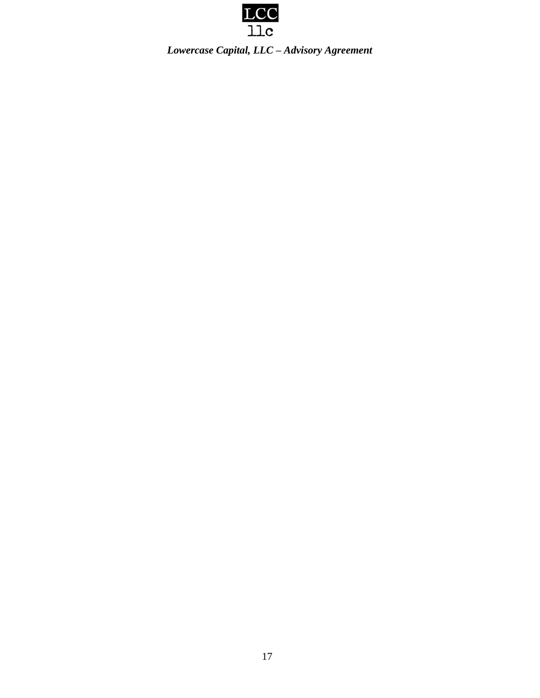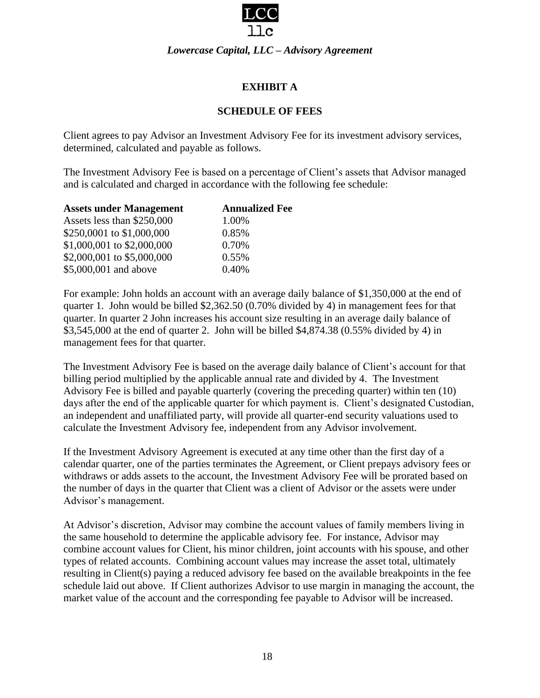

# **EXHIBIT A**

# **SCHEDULE OF FEES**

Client agrees to pay Advisor an Investment Advisory Fee for its investment advisory services, determined, calculated and payable as follows.

The Investment Advisory Fee is based on a percentage of Client's assets that Advisor managed and is calculated and charged in accordance with the following fee schedule:

| <b>Assets under Management</b> | <b>Annualized Fee</b> |  |
|--------------------------------|-----------------------|--|
| Assets less than \$250,000     | 1.00%                 |  |
| \$250,0001 to \$1,000,000      | 0.85%                 |  |
| \$1,000,001 to \$2,000,000     | 0.70%                 |  |
| \$2,000,001 to \$5,000,000     | 0.55%                 |  |
| \$5,000,001 and above          | 0.40%                 |  |

For example: John holds an account with an average daily balance of \$1,350,000 at the end of quarter 1. John would be billed \$2,362.50 (0.70% divided by 4) in management fees for that quarter. In quarter 2 John increases his account size resulting in an average daily balance of \$3,545,000 at the end of quarter 2. John will be billed \$4,874.38 (0.55% divided by 4) in management fees for that quarter.

The Investment Advisory Fee is based on the average daily balance of Client's account for that billing period multiplied by the applicable annual rate and divided by 4. The Investment Advisory Fee is billed and payable quarterly (covering the preceding quarter) within ten (10) days after the end of the applicable quarter for which payment is. Client's designated Custodian, an independent and unaffiliated party, will provide all quarter-end security valuations used to calculate the Investment Advisory fee, independent from any Advisor involvement.

If the Investment Advisory Agreement is executed at any time other than the first day of a calendar quarter, one of the parties terminates the Agreement, or Client prepays advisory fees or withdraws or adds assets to the account, the Investment Advisory Fee will be prorated based on the number of days in the quarter that Client was a client of Advisor or the assets were under Advisor's management.

At Advisor's discretion, Advisor may combine the account values of family members living in the same household to determine the applicable advisory fee. For instance, Advisor may combine account values for Client, his minor children, joint accounts with his spouse, and other types of related accounts. Combining account values may increase the asset total, ultimately resulting in Client(s) paying a reduced advisory fee based on the available breakpoints in the fee schedule laid out above. If Client authorizes Advisor to use margin in managing the account, the market value of the account and the corresponding fee payable to Advisor will be increased.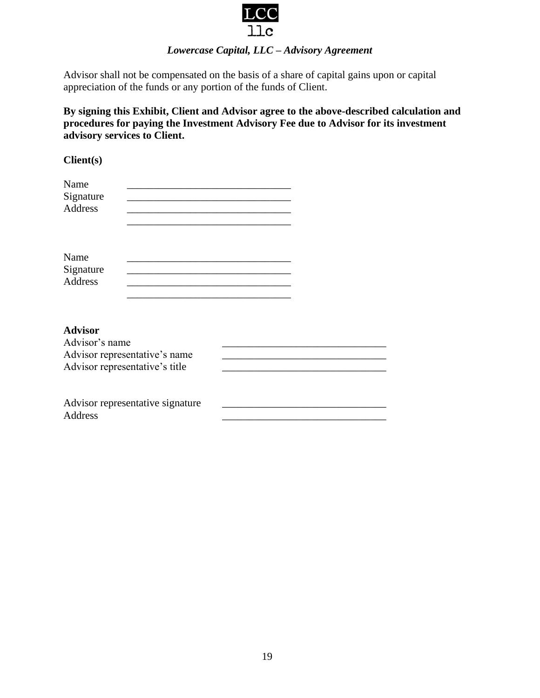

Advisor shall not be compensated on the basis of a share of capital gains upon or capital appreciation of the funds or any portion of the funds of Client.

**By signing this Exhibit, Client and Advisor agree to the above-described calculation and procedures for paying the Investment Advisory Fee due to Advisor for its investment advisory services to Client.** 

| Client(s)                           |                                                                 |  |  |
|-------------------------------------|-----------------------------------------------------------------|--|--|
| Name<br>Signature<br><b>Address</b> |                                                                 |  |  |
| Name<br>Signature<br><b>Address</b> |                                                                 |  |  |
| <b>Advisor</b><br>Advisor's name    | Advisor representative's name<br>Advisor representative's title |  |  |
| Address                             | Advisor representative signature                                |  |  |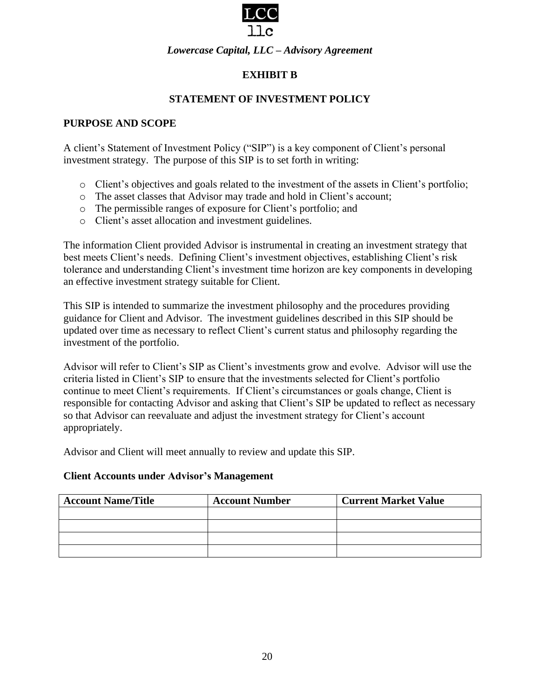

# **EXHIBIT B**

# **STATEMENT OF INVESTMENT POLICY**

### **PURPOSE AND SCOPE**

A client's Statement of Investment Policy ("SIP") is a key component of Client's personal investment strategy. The purpose of this SIP is to set forth in writing:

- o Client's objectives and goals related to the investment of the assets in Client's portfolio;
- o The asset classes that Advisor may trade and hold in Client's account;
- o The permissible ranges of exposure for Client's portfolio; and
- o Client's asset allocation and investment guidelines.

The information Client provided Advisor is instrumental in creating an investment strategy that best meets Client's needs. Defining Client's investment objectives, establishing Client's risk tolerance and understanding Client's investment time horizon are key components in developing an effective investment strategy suitable for Client.

This SIP is intended to summarize the investment philosophy and the procedures providing guidance for Client and Advisor. The investment guidelines described in this SIP should be updated over time as necessary to reflect Client's current status and philosophy regarding the investment of the portfolio.

Advisor will refer to Client's SIP as Client's investments grow and evolve. Advisor will use the criteria listed in Client's SIP to ensure that the investments selected for Client's portfolio continue to meet Client's requirements. If Client's circumstances or goals change, Client is responsible for contacting Advisor and asking that Client's SIP be updated to reflect as necessary so that Advisor can reevaluate and adjust the investment strategy for Client's account appropriately.

Advisor and Client will meet annually to review and update this SIP.

#### **Client Accounts under Advisor's Management**

| <b>Account Name/Title</b> | <b>Account Number</b> | <b>Current Market Value</b> |
|---------------------------|-----------------------|-----------------------------|
|                           |                       |                             |
|                           |                       |                             |
|                           |                       |                             |
|                           |                       |                             |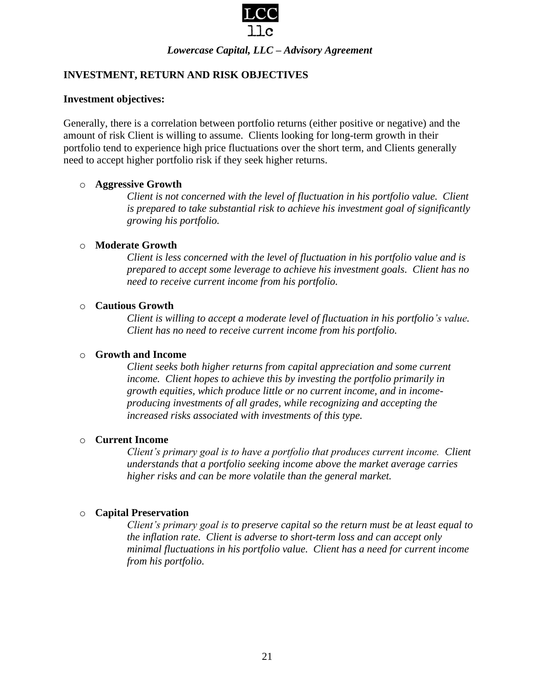

# **INVESTMENT, RETURN AND RISK OBJECTIVES**

#### **Investment objectives:**

Generally, there is a correlation between portfolio returns (either positive or negative) and the amount of risk Client is willing to assume. Clients looking for long-term growth in their portfolio tend to experience high price fluctuations over the short term, and Clients generally need to accept higher portfolio risk if they seek higher returns.

#### o **Aggressive Growth**

*Client is not concerned with the level of fluctuation in his portfolio value. Client is prepared to take substantial risk to achieve his investment goal of significantly growing his portfolio.* 

## o **Moderate Growth**

*Client is less concerned with the level of fluctuation in his portfolio value and is prepared to accept some leverage to achieve his investment goals. Client has no need to receive current income from his portfolio.* 

#### o **Cautious Growth**

*Client is willing to accept a moderate level of fluctuation in his portfolio's value. Client has no need to receive current income from his portfolio.* 

### o **Growth and Income**

*Client seeks both higher returns from capital appreciation and some current income. Client hopes to achieve this by investing the portfolio primarily in growth equities, which produce little or no current income, and in incomeproducing investments of all grades, while recognizing and accepting the increased risks associated with investments of this type.* 

#### o **Current Income**

*Client's primary goal is to have a portfolio that produces current income. Client understands that a portfolio seeking income above the market average carries higher risks and can be more volatile than the general market.* 

## o **Capital Preservation**

*Client's primary goal is to preserve capital so the return must be at least equal to the inflation rate. Client is adverse to short-term loss and can accept only minimal fluctuations in his portfolio value. Client has a need for current income from his portfolio.*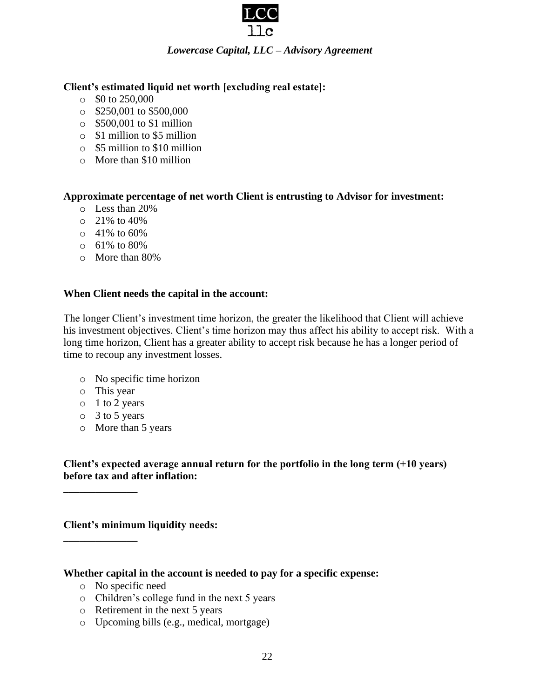

## **Client's estimated liquid net worth [excluding real estate]:**

- o \$0 to 250,000
- $\circ$  \$250,001 to \$500,000
- $\circ$  \$500,001 to \$1 million
- o \$1 million to \$5 million
- o \$5 million to \$10 million
- o More than \$10 million

## **Approximate percentage of net worth Client is entrusting to Advisor for investment:**

- o Less than 20%
- $\degree$  21% to 40%
- o 41% to 60%
- o 61% to 80%
- o More than 80%

#### **When Client needs the capital in the account:**

The longer Client's investment time horizon, the greater the likelihood that Client will achieve his investment objectives. Client's time horizon may thus affect his ability to accept risk. With a long time horizon, Client has a greater ability to accept risk because he has a longer period of time to recoup any investment losses.

- o No specific time horizon
- o This year

**\_\_\_\_\_\_\_\_\_\_\_\_\_\_**

**\_\_\_\_\_\_\_\_\_\_\_\_\_\_**

- $\circ$  1 to 2 years
- o 3 to 5 years
- o More than 5 years

**Client's expected average annual return for the portfolio in the long term (+10 years) before tax and after inflation:** 

**Client's minimum liquidity needs:**

#### **Whether capital in the account is needed to pay for a specific expense:**

- o No specific need
- o Children's college fund in the next 5 years
- o Retirement in the next 5 years
- o Upcoming bills (e.g., medical, mortgage)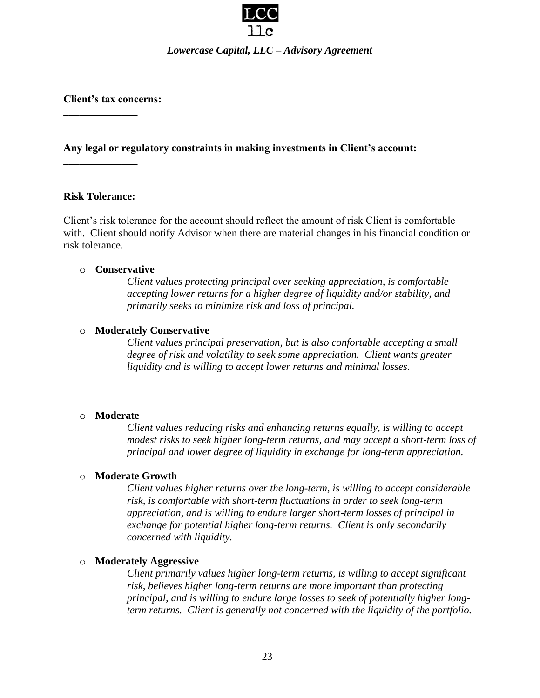

**Client's tax concerns:**

#### **Any legal or regulatory constraints in making investments in Client's account:**

**\_\_\_\_\_\_\_\_\_\_\_\_\_\_**

**\_\_\_\_\_\_\_\_\_\_\_\_\_\_**

#### **Risk Tolerance:**

Client's risk tolerance for the account should reflect the amount of risk Client is comfortable with. Client should notify Advisor when there are material changes in his financial condition or risk tolerance.

#### o **Conservative**

*Client values protecting principal over seeking appreciation, is comfortable accepting lower returns for a higher degree of liquidity and/or stability, and primarily seeks to minimize risk and loss of principal.* 

#### o **Moderately Conservative**

*Client values principal preservation, but is also confortable accepting a small degree of risk and volatility to seek some appreciation. Client wants greater liquidity and is willing to accept lower returns and minimal losses.* 

#### o **Moderate**

*Client values reducing risks and enhancing returns equally, is willing to accept modest risks to seek higher long-term returns, and may accept a short-term loss of principal and lower degree of liquidity in exchange for long-term appreciation.* 

#### o **Moderate Growth**

*Client values higher returns over the long-term, is willing to accept considerable risk, is comfortable with short-term fluctuations in order to seek long-term appreciation, and is willing to endure larger short-term losses of principal in exchange for potential higher long-term returns. Client is only secondarily concerned with liquidity.* 

#### o **Moderately Aggressive**

*Client primarily values higher long-term returns, is willing to accept significant risk, believes higher long-term returns are more important than protecting principal, and is willing to endure large losses to seek of potentially higher longterm returns. Client is generally not concerned with the liquidity of the portfolio.*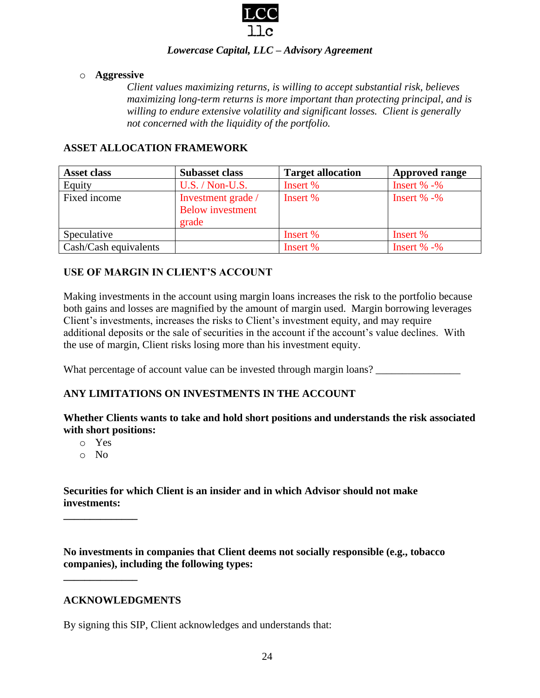

#### o **Aggressive**

*Client values maximizing returns, is willing to accept substantial risk, believes maximizing long-term returns is more important than protecting principal, and is willing to endure extensive volatility and significant losses. Client is generally not concerned with the liquidity of the portfolio.* 

## **ASSET ALLOCATION FRAMEWORK**

| Asset class           | <b>Subasset class</b>                                  | <b>Target allocation</b> | <b>Approved range</b> |
|-----------------------|--------------------------------------------------------|--------------------------|-----------------------|
| Equity                | $U.S. / Non-U.S.$                                      | <b>Insert</b> %          | Insert $\%$ - $\%$    |
| Fixed income          | Investment grade /<br><b>Below investment</b><br>grade | <b>Insert</b> %          | Insert $\%$ - $\%$    |
| Speculative           |                                                        | <b>Insert</b> %          | <b>Insert</b> %       |
| Cash/Cash equivalents |                                                        | <b>Insert</b> %          | Insert $\%$ - $\%$    |

# **USE OF MARGIN IN CLIENT'S ACCOUNT**

Making investments in the account using margin loans increases the risk to the portfolio because both gains and losses are magnified by the amount of margin used. Margin borrowing leverages Client's investments, increases the risks to Client's investment equity, and may require additional deposits or the sale of securities in the account if the account's value declines. With the use of margin, Client risks losing more than his investment equity.

What percentage of account value can be invested through margin loans?

# **ANY LIMITATIONS ON INVESTMENTS IN THE ACCOUNT**

**Whether Clients wants to take and hold short positions and understands the risk associated with short positions:**

- o Yes
- o No

**Securities for which Client is an insider and in which Advisor should not make investments:**

**\_\_\_\_\_\_\_\_\_\_\_\_\_\_**

**\_\_\_\_\_\_\_\_\_\_\_\_\_\_**

**No investments in companies that Client deems not socially responsible (e.g., tobacco companies), including the following types:**

## **ACKNOWLEDGMENTS**

By signing this SIP, Client acknowledges and understands that: